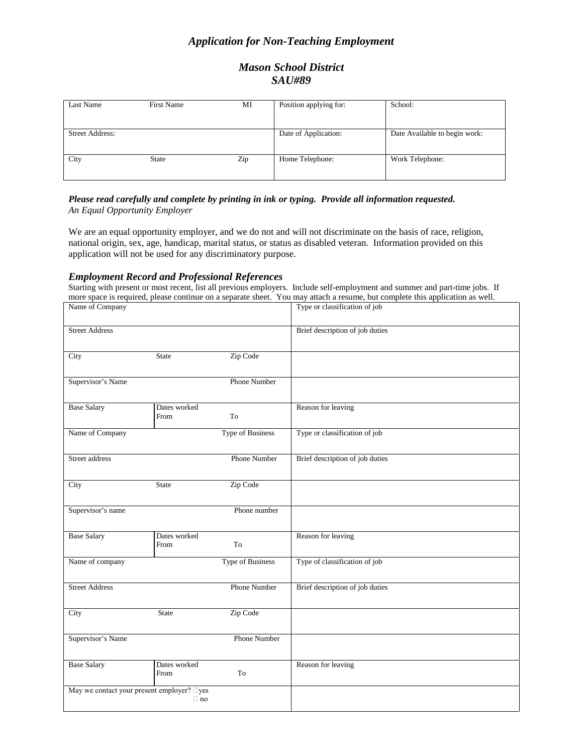# *Application for Non-Teaching Employment*

# *Mason School District SAU#89*

| Last Name              | <b>First Name</b> | МI  | Position applying for: | School:                       |
|------------------------|-------------------|-----|------------------------|-------------------------------|
|                        |                   |     |                        |                               |
|                        |                   |     |                        |                               |
| <b>Street Address:</b> |                   |     | Date of Application:   | Date Available to begin work: |
|                        |                   |     |                        |                               |
|                        |                   |     |                        |                               |
| City                   | <b>State</b>      | Zip | Home Telephone:        | Work Telephone:               |
|                        |                   |     |                        |                               |
|                        |                   |     |                        |                               |

### *Please read carefully and complete by printing in ink or typing. Provide all information requested. An Equal Opportunity Employer*

We are an equal opportunity employer, and we do not and will not discriminate on the basis of race, religion, national origin, sex, age, handicap, marital status, or status as disabled veteran. Information provided on this application will not be used for any discriminatory purpose.

### *Employment Record and Professional References*

Starting with present or most recent, list all previous employers. Include self-employment and summer and part-time jobs. If more space is required, please continue on a separate sheet. You may attach a resume, but complete this application as well.

| Name of Company                            |                      |                         | Type or classification of job   |
|--------------------------------------------|----------------------|-------------------------|---------------------------------|
| <b>Street Address</b>                      |                      |                         | Brief description of job duties |
| City                                       | <b>State</b>         | Zip Code                |                                 |
| Supervisor's Name                          |                      | <b>Phone Number</b>     |                                 |
| <b>Base Salary</b>                         | Dates worked<br>From | To                      | Reason for leaving              |
| Name of Company                            |                      | <b>Type of Business</b> | Type or classification of job   |
| Street address                             |                      | <b>Phone Number</b>     | Brief description of job duties |
| City                                       | <b>State</b>         | Zip Code                |                                 |
| Supervisor's name                          |                      | Phone number            |                                 |
| <b>Base Salary</b>                         | Dates worked<br>From | To                      | Reason for leaving              |
| Name of company                            |                      | <b>Type of Business</b> | Type of classification of job   |
| <b>Street Address</b>                      |                      | <b>Phone Number</b>     | Brief description of job duties |
| City                                       | <b>State</b>         | Zip Code                |                                 |
| Supervisor's Name                          |                      | <b>Phone Number</b>     |                                 |
| <b>Base Salary</b>                         | Dates worked<br>From | To                      | Reason for leaving              |
| May we contact your present employer? Dyes | $\Box$ no            |                         |                                 |